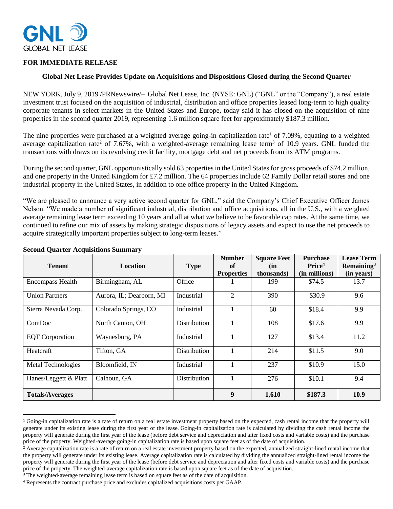

# **FOR IMMEDIATE RELEASE**

### **Global Net Lease Provides Update on Acquisitions and Dispositions Closed during the Second Quarter**

NEW YORK, July 9, 2019 /PRNewswire/– Global Net Lease, Inc. (NYSE: GNL) ("GNL" or the "Company"), a real estate investment trust focused on the acquisition of industrial, distribution and office properties leased long-term to high quality corporate tenants in select markets in the United States and Europe, today said it has closed on the acquisition of nine properties in the second quarter 2019, representing 1.6 million square feet for approximately \$187.3 million.

The nine properties were purchased at a weighted average going-in capitalization rate<sup>1</sup> of 7.09%, equating to a weighted average capitalization rate<sup>2</sup> of 7.67%, with a weighted-average remaining lease term<sup>3</sup> of 10.9 years. GNL funded the transactions with draws on its revolving credit facility, mortgage debt and net proceeds from its ATM programs.

During the second quarter, GNL opportunistically sold 63 properties in the United States for gross proceeds of \$74.2 million, and one property in the United Kingdom for £7.2 million. The 64 properties include 62 Family Dollar retail stores and one industrial property in the United States, in addition to one office property in the United Kingdom.

"We are pleased to announce a very active second quarter for GNL," said the Company's Chief Executive Officer James Nelson. "We made a number of significant industrial, distribution and office acquisitions, all in the U.S., with a weighted average remaining lease term exceeding 10 years and all at what we believe to be favorable cap rates. At the same time, we continued to refine our mix of assets by making strategic dispositions of legacy assets and expect to use the net proceeds to acquire strategically important properties subject to long-term leases."

| <b>Tenant</b>             | <b>Location</b>          | <b>Type</b>         | <b>Number</b><br>of | <b>Square Feet</b><br>(in | <b>Purchase</b><br>Price <sup>4</sup> | <b>Lease Term</b><br>Remaining $3$ |
|---------------------------|--------------------------|---------------------|---------------------|---------------------------|---------------------------------------|------------------------------------|
|                           |                          |                     | <b>Properties</b>   | thousands)                | (in millions)                         | (in years)                         |
| <b>Encompass Health</b>   | Birmingham, AL           | Office              |                     | 199                       | \$74.5                                | 13.7                               |
| <b>Union Partners</b>     | Aurora, IL; Dearborn, MI | Industrial          | 2                   | 390                       | \$30.9                                | 9.6                                |
| Sierra Nevada Corp.       | Colorado Springs, CO     | Industrial          |                     | 60                        | \$18.4                                | 9.9                                |
| ComDoc                    | North Canton, OH         | <b>Distribution</b> |                     | 108                       | \$17.6                                | 9.9                                |
| <b>EQT</b> Corporation    | Waynesburg, PA           | Industrial          |                     | 127                       | \$13.4                                | 11.2                               |
| Heatcraft                 | Tifton, GA               | <b>Distribution</b> |                     | 214                       | \$11.5                                | 9.0                                |
| <b>Metal Technologies</b> | Bloomfield, IN           | Industrial          |                     | 237                       | \$10.9                                | 15.0                               |
| Hanes/Leggett & Platt     | Calhoun, GA              | Distribution        |                     | 276                       | \$10.1                                | 9.4                                |
| <b>Totals/Averages</b>    |                          |                     | 9                   | 1,610                     | \$187.3                               | 10.9                               |

#### **Second Quarter Acquisitions Summary**

 $\overline{\phantom{a}}$ 

<sup>1</sup> Going-in capitalization rate is a rate of return on a real estate investment property based on the expected, cash rental income that the property will generate under its existing lease during the first year of the lease. Going-in capitalization rate is calculated by dividing the cash rental income the property will generate during the first year of the lease (before debt service and depreciation and after fixed costs and variable costs) and the purchase price of the property. Weighted-average going-in capitalization rate is based upon square feet as of the date of acquisition.

<sup>&</sup>lt;sup>2</sup> Average capitalization rate is a rate of return on a real estate investment property based on the expected, annualized straight-lined rental income that the property will generate under its existing lease. Average capitalization rate is calculated by dividing the annualized straight-lined rental income the property will generate during the first year of the lease (before debt service and depreciation and after fixed costs and variable costs) and the purchase price of the property. The weighted-average capitalization rate is based upon square feet as of the date of acquisition.

<sup>&</sup>lt;sup>3</sup> The weighted-average remaining lease term is based on square feet as of the date of acquisition.

<sup>4</sup> Represents the contract purchase price and excludes capitalized acquisitions costs per GAAP.